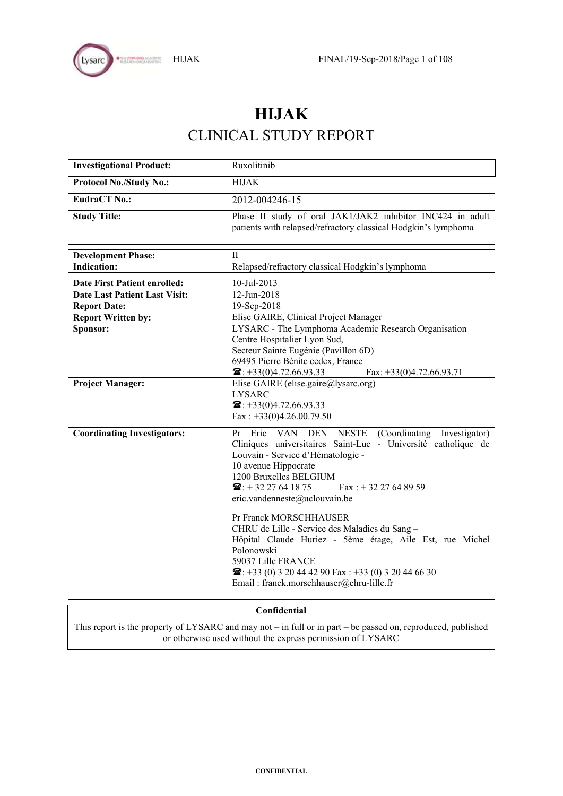

# **HIJAK**  CLINICAL STUDY REPORT

| <b>Investigational Product:</b>      | Ruxolitinib                                                                                                                                                                                                                                                                                                                                                                                                                                                                                                                                                                                               |  |
|--------------------------------------|-----------------------------------------------------------------------------------------------------------------------------------------------------------------------------------------------------------------------------------------------------------------------------------------------------------------------------------------------------------------------------------------------------------------------------------------------------------------------------------------------------------------------------------------------------------------------------------------------------------|--|
| Protocol No./Study No.:              | <b>HIJAK</b>                                                                                                                                                                                                                                                                                                                                                                                                                                                                                                                                                                                              |  |
| <b>EudraCT No.:</b>                  | 2012-004246-15                                                                                                                                                                                                                                                                                                                                                                                                                                                                                                                                                                                            |  |
| <b>Study Title:</b>                  | Phase II study of oral JAK1/JAK2 inhibitor INC424 in adult<br>patients with relapsed/refractory classical Hodgkin's lymphoma                                                                                                                                                                                                                                                                                                                                                                                                                                                                              |  |
| <b>Development Phase:</b>            | $\mathbf{I}$                                                                                                                                                                                                                                                                                                                                                                                                                                                                                                                                                                                              |  |
| <b>Indication:</b>                   | Relapsed/refractory classical Hodgkin's lymphoma                                                                                                                                                                                                                                                                                                                                                                                                                                                                                                                                                          |  |
| <b>Date First Patient enrolled:</b>  | 10-Jul-2013                                                                                                                                                                                                                                                                                                                                                                                                                                                                                                                                                                                               |  |
| <b>Date Last Patient Last Visit:</b> | 12-Jun-2018                                                                                                                                                                                                                                                                                                                                                                                                                                                                                                                                                                                               |  |
| <b>Report Date:</b>                  | 19-Sep-2018                                                                                                                                                                                                                                                                                                                                                                                                                                                                                                                                                                                               |  |
| <b>Report Written by:</b>            | Elise GAIRE, Clinical Project Manager                                                                                                                                                                                                                                                                                                                                                                                                                                                                                                                                                                     |  |
| Sponsor:                             | LYSARC - The Lymphoma Academic Research Organisation<br>Centre Hospitalier Lyon Sud,<br>Secteur Sainte Eugénie (Pavillon 6D)<br>69495 Pierre Bénite cedex, France<br>$\mathbf{\widehat{m}}$ : +33(0)4.72.66.93.33<br>Fax: $+33(0)4.72.66.93.71$                                                                                                                                                                                                                                                                                                                                                           |  |
| <b>Project Manager:</b>              | Elise GAIRE (elise.gaire@lysarc.org)<br><b>LYSARC</b><br>$\mathbf{\widehat{m}}$ : +33(0)4.72.66.93.33<br>Fax: $+33(0)4.26.00.79.50$                                                                                                                                                                                                                                                                                                                                                                                                                                                                       |  |
| <b>Coordinating Investigators:</b>   | Pr Eric VAN DEN NESTE (Coordinating Investigator)<br>Cliniques universitaires Saint-Luc - Université catholique de<br>Louvain - Service d'Hématologie -<br>10 avenue Hippocrate<br>1200 Bruxelles BELGIUM<br>$\mathbf{\widehat{m}}$ : +32 27 64 18 75<br>$\text{Fax}$ : + 32 27 64 89 59<br>eric.vandenneste@uclouvain.be<br>Pr Franck MORSCHHAUSER<br>CHRU de Lille - Service des Maladies du Sang -<br>Hôpital Claude Huriez - 5ème étage, Aile Est, rue Michel<br>Polonowski<br>59037 Lille FRANCE<br>$\mathbf{E}: +33(0)320444290$ Fax: $+33(0)320446630$<br>Email: franck.morschhauser@chru-lille.fr |  |

## **Confidential**

This report is the property of LYSARC and may not – in full or in part – be passed on, reproduced, published or otherwise used without the express permission of LYSARC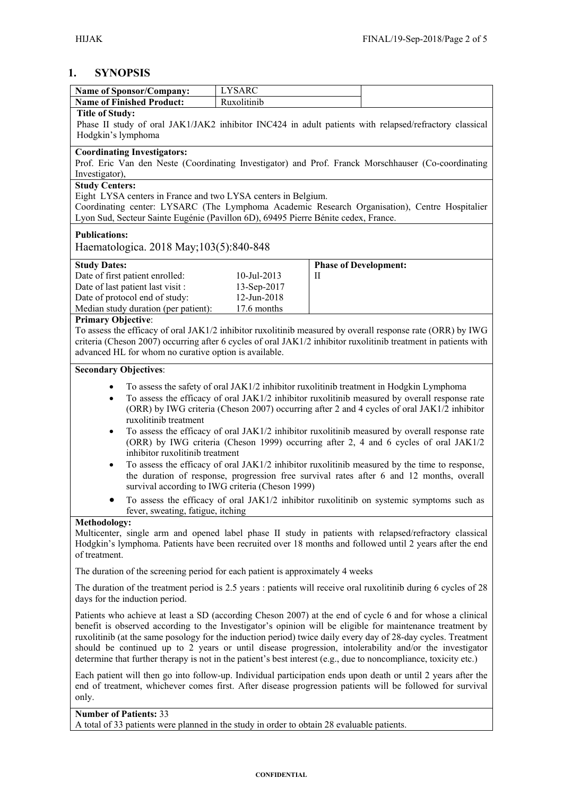# **1. SYNOPSIS**

| Name of Sponsor/Company:                                                                                                                           | <b>LYSARC</b>                                    |   |                                                                                               |
|----------------------------------------------------------------------------------------------------------------------------------------------------|--------------------------------------------------|---|-----------------------------------------------------------------------------------------------|
| <b>Name of Finished Product:</b>                                                                                                                   | Ruxolitinib                                      |   |                                                                                               |
| <b>Title of Study:</b>                                                                                                                             |                                                  |   |                                                                                               |
| Phase II study of oral JAK1/JAK2 inhibitor INC424 in adult patients with relapsed/refractory classical                                             |                                                  |   |                                                                                               |
| Hodgkin's lymphoma                                                                                                                                 |                                                  |   |                                                                                               |
| <b>Coordinating Investigators:</b>                                                                                                                 |                                                  |   |                                                                                               |
| Prof. Eric Van den Neste (Coordinating Investigator) and Prof. Franck Morschhauser (Co-coordinating                                                |                                                  |   |                                                                                               |
| Investigator),                                                                                                                                     |                                                  |   |                                                                                               |
| <b>Study Centers:</b>                                                                                                                              |                                                  |   |                                                                                               |
| Eight LYSA centers in France and two LYSA centers in Belgium.                                                                                      |                                                  |   |                                                                                               |
| Coordinating center: LYSARC (The Lymphoma Academic Research Organisation), Centre Hospitalier                                                      |                                                  |   |                                                                                               |
| Lyon Sud, Secteur Sainte Eugénie (Pavillon 6D), 69495 Pierre Bénite cedex, France.                                                                 |                                                  |   |                                                                                               |
| <b>Publications:</b>                                                                                                                               |                                                  |   |                                                                                               |
| Haematologica. 2018 May; 103(5): 840-848                                                                                                           |                                                  |   |                                                                                               |
|                                                                                                                                                    |                                                  |   |                                                                                               |
| <b>Study Dates:</b>                                                                                                                                |                                                  |   | <b>Phase of Development:</b>                                                                  |
| Date of first patient enrolled:                                                                                                                    | $10$ -Jul-2013                                   | П |                                                                                               |
| Date of last patient last visit :                                                                                                                  | 13-Sep-2017                                      |   |                                                                                               |
| Date of protocol end of study:                                                                                                                     | 12-Jun-2018                                      |   |                                                                                               |
| Median study duration (per patient):                                                                                                               | 17.6 months                                      |   |                                                                                               |
| <b>Primary Objective:</b><br>To assess the efficacy of oral JAK1/2 inhibitor ruxolitinib measured by overall response rate (ORR) by IWG            |                                                  |   |                                                                                               |
| criteria (Cheson 2007) occurring after 6 cycles of oral JAK1/2 inhibitor ruxolitinib treatment in patients with                                    |                                                  |   |                                                                                               |
| advanced HL for whom no curative option is available.                                                                                              |                                                  |   |                                                                                               |
|                                                                                                                                                    |                                                  |   |                                                                                               |
| <b>Secondary Objectives:</b>                                                                                                                       |                                                  |   |                                                                                               |
| $\bullet$                                                                                                                                          |                                                  |   | To assess the safety of oral JAK1/2 inhibitor ruxolitinib treatment in Hodgkin Lymphoma       |
| $\bullet$                                                                                                                                          |                                                  |   | To assess the efficacy of oral JAK1/2 inhibitor ruxolitinib measured by overall response rate |
|                                                                                                                                                    |                                                  |   | (ORR) by IWG criteria (Cheson 2007) occurring after 2 and 4 cycles of oral JAK1/2 inhibitor   |
| ruxolitinib treatment                                                                                                                              |                                                  |   |                                                                                               |
| $\bullet$                                                                                                                                          |                                                  |   | To assess the efficacy of oral JAK1/2 inhibitor ruxolitinib measured by overall response rate |
|                                                                                                                                                    |                                                  |   | (ORR) by IWG criteria (Cheson 1999) occurring after 2, 4 and 6 cycles of oral JAK1/2          |
| inhibitor ruxolitinib treatment                                                                                                                    |                                                  |   |                                                                                               |
| $\bullet$                                                                                                                                          |                                                  |   | To assess the efficacy of oral JAK1/2 inhibitor ruxolitinib measured by the time to response, |
|                                                                                                                                                    |                                                  |   | the duration of response, progression free survival rates after 6 and 12 months, overall      |
|                                                                                                                                                    | survival according to IWG criteria (Cheson 1999) |   |                                                                                               |
|                                                                                                                                                    |                                                  |   | To assess the efficacy of oral JAK1/2 inhibitor ruxolitinib on systemic symptoms such as      |
| fever, sweating, fatigue, itching                                                                                                                  |                                                  |   |                                                                                               |
| <b>Methodology:</b>                                                                                                                                |                                                  |   |                                                                                               |
| Multicenter, single arm and opened label phase II study in patients with relapsed/refractory classical                                             |                                                  |   |                                                                                               |
| Hodgkin's lymphoma. Patients have been recruited over 18 months and followed until 2 years after the end                                           |                                                  |   |                                                                                               |
| of treatment.                                                                                                                                      |                                                  |   |                                                                                               |
| The duration of the screening period for each patient is approximately 4 weeks                                                                     |                                                  |   |                                                                                               |
|                                                                                                                                                    |                                                  |   |                                                                                               |
| The duration of the treatment period is 2.5 years : patients will receive oral ruxolitinib during 6 cycles of 28<br>days for the induction period. |                                                  |   |                                                                                               |
|                                                                                                                                                    |                                                  |   |                                                                                               |
| Patients who achieve at least a SD (according Cheson 2007) at the end of cycle 6 and for whose a clinical                                          |                                                  |   |                                                                                               |
| benefit is observed according to the Investigator's opinion will be eligible for maintenance treatment by                                          |                                                  |   |                                                                                               |
| ruxolitinib (at the same posology for the induction period) twice daily every day of 28-day cycles. Treatment                                      |                                                  |   |                                                                                               |
| should be continued up to 2 years or until disease progression, intolerability and/or the investigator                                             |                                                  |   |                                                                                               |
| determine that further therapy is not in the patient's best interest (e.g., due to noncompliance, toxicity etc.)                                   |                                                  |   |                                                                                               |
| Each patient will then go into follow-up. Individual participation ends upon death or until 2 years after the                                      |                                                  |   |                                                                                               |
| end of treatment, whichever comes first. After disease progression patients will be followed for survival                                          |                                                  |   |                                                                                               |
| only.                                                                                                                                              |                                                  |   |                                                                                               |
| <b>Number of Patients: 33</b>                                                                                                                      |                                                  |   |                                                                                               |
| A total of 33 patients were planned in the study in order to obtain 28 evaluable patients.                                                         |                                                  |   |                                                                                               |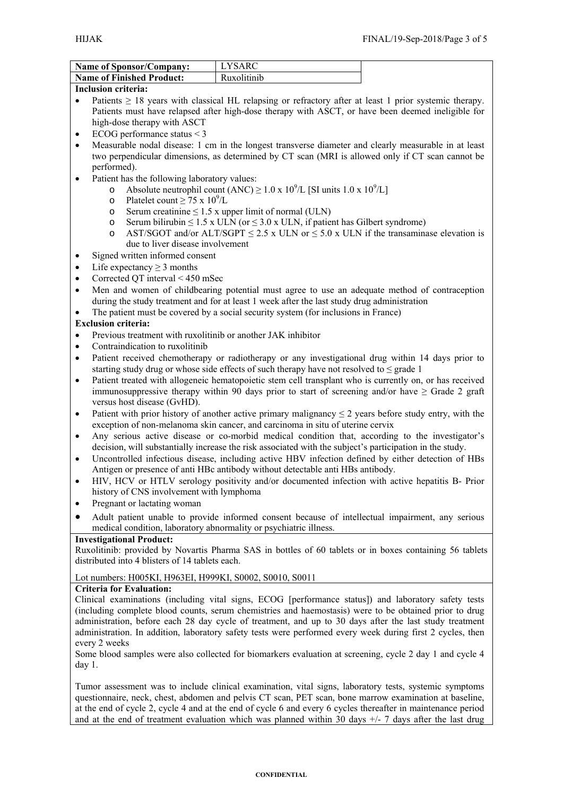| <b>Name of Sponsor/Company:</b>  | I VSARC     |  |
|----------------------------------|-------------|--|
| <b>Name of Finished Product:</b> | Ruxolitinih |  |

#### **Inclusion criteria:**

- Patients > 18 years with classical HL relapsing or refractory after at least 1 prior systemic therapy. Patients must have relapsed after high-dose therapy with ASCT, or have been deemed ineligible for high-dose therapy with ASCT
- ECOG performance status < 3
- Measurable nodal disease: 1 cm in the longest transverse diameter and clearly measurable in at least two perpendicular dimensions, as determined by CT scan (MRI is allowed only if CT scan cannot be performed).
- Patient has the following laboratory values:
	- o Absolute neutrophil count  $(ANC) \ge 1.0 \times 10^9/L$  [SI units 1.0 x 10<sup>9</sup>/L]
	- o Platelet count  $\geq 75 \times 10^9$ /L
	- o Serum creatinine  $\leq 1.5$  x upper limit of normal (ULN)
	- o Serum bilirubin  $\leq 1.5$  x ULN (or  $\leq 3.0$  x ULN, if patient has Gilbert syndrome)
	- o AST/SGOT and/or ALT/SGPT  $\leq$  2.5 x ULN or  $\leq$  5.0 x ULN if the transaminase elevation is due to liver disease involvement
- Signed written informed consent
- Life expectancy  $\geq 3$  months
- Corrected QT interval < 450 mSec
- Men and women of childbearing potential must agree to use an adequate method of contraception during the study treatment and for at least 1 week after the last study drug administration
- The patient must be covered by a social security system (for inclusions in France)

#### **Exclusion criteria:**

- Previous treatment with ruxolitinib or another JAK inhibitor
- Contraindication to ruxolitinib
- Patient received chemotherapy or radiotherapy or any investigational drug within 14 days prior to starting study drug or whose side effects of such therapy have not resolved to  $\leq$  grade 1
- Patient treated with allogeneic hematopoietic stem cell transplant who is currently on, or has received immunosuppressive therapy within 90 days prior to start of screening and/or have  $\geq$  Grade 2 graft versus host disease (GvHD).
- Patient with prior history of another active primary malignancy  $\leq 2$  years before study entry, with the exception of non-melanoma skin cancer, and carcinoma in situ of uterine cervix
- Any serious active disease or co-morbid medical condition that, according to the investigator's decision, will substantially increase the risk associated with the subject's participation in the study.
- Uncontrolled infectious disease, including active HBV infection defined by either detection of HBs Antigen or presence of anti HBc antibody without detectable anti HBs antibody.
- HIV, HCV or HTLV serology positivity and/or documented infection with active hepatitis B- Prior history of CNS involvement with lymphoma
- Pregnant or lactating woman
- Adult patient unable to provide informed consent because of intellectual impairment, any serious medical condition, laboratory abnormality or psychiatric illness.

#### **Investigational Product:**

Ruxolitinib: provided by Novartis Pharma SAS in bottles of 60 tablets or in boxes containing 56 tablets distributed into 4 blisters of 14 tablets each.

#### Lot numbers: H005KI, H963EI, H999KI, S0002, S0010, S0011

#### **Criteria for Evaluation:**

Clinical examinations (including vital signs, ECOG [performance status]) and laboratory safety tests (including complete blood counts, serum chemistries and haemostasis) were to be obtained prior to drug administration, before each 28 day cycle of treatment, and up to 30 days after the last study treatment administration. In addition, laboratory safety tests were performed every week during first 2 cycles, then every 2 weeks

Some blood samples were also collected for biomarkers evaluation at screening, cycle 2 day 1 and cycle 4 day 1.

Tumor assessment was to include clinical examination, vital signs, laboratory tests, systemic symptoms questionnaire, neck, chest, abdomen and pelvis CT scan, PET scan, bone marrow examination at baseline, at the end of cycle 2, cycle 4 and at the end of cycle 6 and every 6 cycles thereafter in maintenance period and at the end of treatment evaluation which was planned within 30 days  $+/-$  7 days after the last drug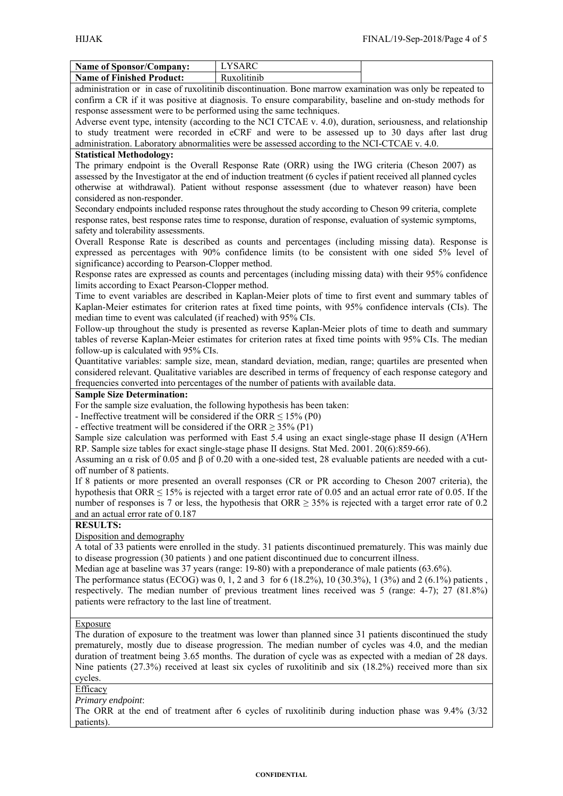| <b>Name of Sponsor/Company:</b>                                                                            | <b>LYSARC</b>                                                                                                                                                                                                            |  |  |  |
|------------------------------------------------------------------------------------------------------------|--------------------------------------------------------------------------------------------------------------------------------------------------------------------------------------------------------------------------|--|--|--|
| <b>Name of Finished Product:</b>                                                                           | Ruxolitinib                                                                                                                                                                                                              |  |  |  |
|                                                                                                            | administration or in case of ruxolitinib discontinuation. Bone marrow examination was only be repeated to                                                                                                                |  |  |  |
| confirm a CR if it was positive at diagnosis. To ensure comparability, baseline and on-study methods for   |                                                                                                                                                                                                                          |  |  |  |
| response assessment were to be performed using the same techniques.                                        |                                                                                                                                                                                                                          |  |  |  |
|                                                                                                            | Adverse event type, intensity (according to the NCI CTCAE v. 4.0), duration, seriousness, and relationship                                                                                                               |  |  |  |
|                                                                                                            | to study treatment were recorded in eCRF and were to be assessed up to 30 days after last drug                                                                                                                           |  |  |  |
|                                                                                                            | administration. Laboratory abnormalities were be assessed according to the NCI-CTCAE v. 4.0.                                                                                                                             |  |  |  |
| <b>Statistical Methodology:</b>                                                                            |                                                                                                                                                                                                                          |  |  |  |
|                                                                                                            | The primary endpoint is the Overall Response Rate (ORR) using the IWG criteria (Cheson 2007) as                                                                                                                          |  |  |  |
|                                                                                                            | assessed by the Investigator at the end of induction treatment (6 cycles if patient received all planned cycles                                                                                                          |  |  |  |
| otherwise at withdrawal). Patient without response assessment (due to whatever reason) have been           |                                                                                                                                                                                                                          |  |  |  |
| considered as non-responder.                                                                               |                                                                                                                                                                                                                          |  |  |  |
| Secondary endpoints included response rates throughout the study according to Cheson 99 criteria, complete |                                                                                                                                                                                                                          |  |  |  |
|                                                                                                            | response rates, best response rates time to response, duration of response, evaluation of systemic symptoms,                                                                                                             |  |  |  |
| safety and tolerability assessments.                                                                       |                                                                                                                                                                                                                          |  |  |  |
|                                                                                                            | Overall Response Rate is described as counts and percentages (including missing data). Response is                                                                                                                       |  |  |  |
|                                                                                                            | expressed as percentages with 90% confidence limits (to be consistent with one sided 5% level of                                                                                                                         |  |  |  |
| significance) according to Pearson-Clopper method.                                                         |                                                                                                                                                                                                                          |  |  |  |
|                                                                                                            | Response rates are expressed as counts and percentages (including missing data) with their 95% confidence                                                                                                                |  |  |  |
| limits according to Exact Pearson-Clopper method.                                                          |                                                                                                                                                                                                                          |  |  |  |
|                                                                                                            | Time to event variables are described in Kaplan-Meier plots of time to first event and summary tables of                                                                                                                 |  |  |  |
|                                                                                                            | Kaplan-Meier estimates for criterion rates at fixed time points, with 95% confidence intervals (CIs). The                                                                                                                |  |  |  |
| median time to event was calculated (if reached) with 95% CIs.                                             | Follow-up throughout the study is presented as reverse Kaplan-Meier plots of time to death and summary                                                                                                                   |  |  |  |
|                                                                                                            | tables of reverse Kaplan-Meier estimates for criterion rates at fixed time points with 95% CIs. The median                                                                                                               |  |  |  |
| follow-up is calculated with 95% CIs.                                                                      |                                                                                                                                                                                                                          |  |  |  |
|                                                                                                            | Quantitative variables: sample size, mean, standard deviation, median, range; quartiles are presented when                                                                                                               |  |  |  |
|                                                                                                            | considered relevant. Qualitative variables are described in terms of frequency of each response category and                                                                                                             |  |  |  |
|                                                                                                            | frequencies converted into percentages of the number of patients with available data.                                                                                                                                    |  |  |  |
| <b>Sample Size Determination:</b>                                                                          |                                                                                                                                                                                                                          |  |  |  |
| For the sample size evaluation, the following hypothesis has been taken:                                   |                                                                                                                                                                                                                          |  |  |  |
| - Ineffective treatment will be considered if the ORR $\leq$ 15% (P0)                                      |                                                                                                                                                                                                                          |  |  |  |
| - effective treatment will be considered if the ORR $\geq$ 35% (P1)                                        |                                                                                                                                                                                                                          |  |  |  |
|                                                                                                            | Sample size calculation was performed with East 5.4 using an exact single-stage phase II design (A'Hern                                                                                                                  |  |  |  |
|                                                                                                            | RP. Sample size tables for exact single-stage phase II designs. Stat Med. 2001. 20(6):859-66).                                                                                                                           |  |  |  |
|                                                                                                            | Assuming an $\alpha$ risk of 0.05 and $\beta$ of 0.20 with a one-sided test, 28 evaluable patients are needed with a cut-                                                                                                |  |  |  |
| off number of 8 patients.                                                                                  |                                                                                                                                                                                                                          |  |  |  |
|                                                                                                            | If 8 patients or more presented an overall responses (CR or PR according to Cheson 2007 criteria), the                                                                                                                   |  |  |  |
|                                                                                                            | hypothesis that ORR $\leq$ 15% is rejected with a target error rate of 0.05 and an actual error rate of 0.05. If the                                                                                                     |  |  |  |
|                                                                                                            | number of responses is 7 or less, the hypothesis that ORR $\geq$ 35% is rejected with a target error rate of 0.2                                                                                                         |  |  |  |
| and an actual error rate of 0.187                                                                          |                                                                                                                                                                                                                          |  |  |  |
| <b>RESULTS:</b>                                                                                            |                                                                                                                                                                                                                          |  |  |  |
| Disposition and demography                                                                                 |                                                                                                                                                                                                                          |  |  |  |
|                                                                                                            | A total of 33 patients were enrolled in the study. 31 patients discontinued prematurely. This was mainly due                                                                                                             |  |  |  |
|                                                                                                            | to disease progression (30 patients) and one patient discontinued due to concurrent illness.                                                                                                                             |  |  |  |
|                                                                                                            | Median age at baseline was 37 years (range: 19-80) with a preponderance of male patients (63.6%).                                                                                                                        |  |  |  |
|                                                                                                            | The performance status (ECOG) was 0, 1, 2 and 3 for 6 (18.2%), 10 (30.3%), 1 (3%) and 2 (6.1%) patients,                                                                                                                 |  |  |  |
|                                                                                                            | respectively. The median number of previous treatment lines received was 5 (range: 4-7); 27 (81.8%)                                                                                                                      |  |  |  |
| patients were refractory to the last line of treatment.                                                    |                                                                                                                                                                                                                          |  |  |  |
|                                                                                                            |                                                                                                                                                                                                                          |  |  |  |
| <b>Exposure</b>                                                                                            |                                                                                                                                                                                                                          |  |  |  |
|                                                                                                            | The duration of exposure to the treatment was lower than planned since 31 patients discontinued the study                                                                                                                |  |  |  |
|                                                                                                            | prematurely, mostly due to disease progression. The median number of cycles was 4.0, and the median                                                                                                                      |  |  |  |
|                                                                                                            | duration of treatment being 3.65 months. The duration of cycle was as expected with a median of 28 days.<br>Nine patients $(27.3%)$ received at least six cycles of ruxolitinib and six $(18.2%)$ received more than six |  |  |  |
|                                                                                                            |                                                                                                                                                                                                                          |  |  |  |
| cycles.                                                                                                    |                                                                                                                                                                                                                          |  |  |  |
| Efficacy<br>$m_{1}$ and point                                                                              |                                                                                                                                                                                                                          |  |  |  |

*Primary endpoint*: The ORR at the end of treatment after 6 cycles of ruxolitinib during induction phase was 9.4% (3/32) patients).

#### **CONFIDENTIAL**